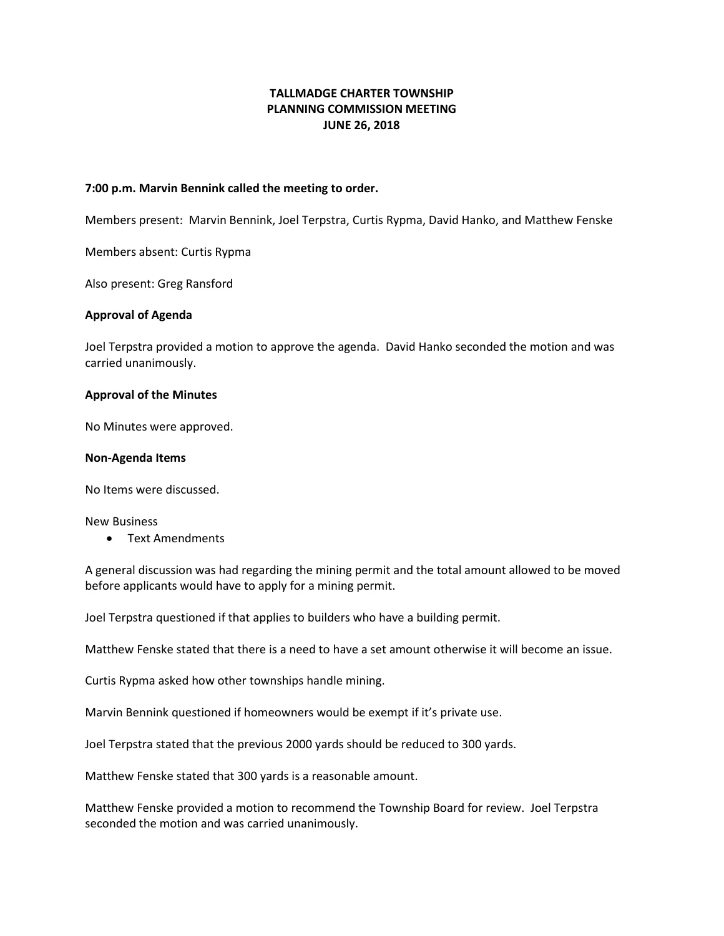# **TALLMADGE CHARTER TOWNSHIP PLANNING COMMISSION MEETING JUNE 26, 2018**

### **7:00 p.m. Marvin Bennink called the meeting to order.**

Members present: Marvin Bennink, Joel Terpstra, Curtis Rypma, David Hanko, and Matthew Fenske

Members absent: Curtis Rypma

Also present: Greg Ransford

#### **Approval of Agenda**

Joel Terpstra provided a motion to approve the agenda. David Hanko seconded the motion and was carried unanimously.

#### **Approval of the Minutes**

No Minutes were approved.

#### **Non-Agenda Items**

No Items were discussed.

New Business

• Text Amendments

A general discussion was had regarding the mining permit and the total amount allowed to be moved before applicants would have to apply for a mining permit.

Joel Terpstra questioned if that applies to builders who have a building permit.

Matthew Fenske stated that there is a need to have a set amount otherwise it will become an issue.

Curtis Rypma asked how other townships handle mining.

Marvin Bennink questioned if homeowners would be exempt if it's private use.

Joel Terpstra stated that the previous 2000 yards should be reduced to 300 yards.

Matthew Fenske stated that 300 yards is a reasonable amount.

Matthew Fenske provided a motion to recommend the Township Board for review. Joel Terpstra seconded the motion and was carried unanimously.